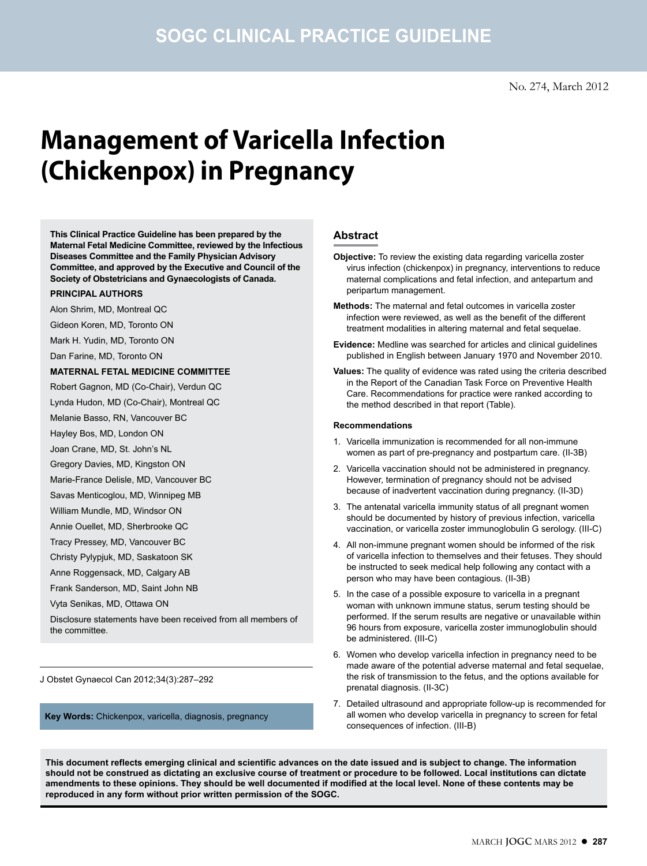# **Management of Varicella Infection (Chickenpox) in Pregnancy**

**This Clinical Practice Guideline has been prepared by the Maternal Fetal Medicine Committee, reviewed by the Infectious Diseases Committee and the Family Physician Advisory Committee, and approved by the Executive and Council of the Society of Obstetricians and Gynaecologists of Canada.**

#### **PRINCIPAL AUTHORS**

Alon Shrim, MD, Montreal QC

- Gideon Koren, MD, Toronto ON
- Mark H. Yudin, MD, Toronto ON

Dan Farine, MD, Toronto ON

#### **MATERNAL FETAL MEDICINE COMMITTEE**

Robert Gagnon, MD (Co-Chair), Verdun QC

Lynda Hudon, MD (Co-Chair), Montreal QC

Melanie Basso, RN, Vancouver BC

Hayley Bos, MD, London ON

Joan Crane, MD, St. John's NL

Gregory Davies, MD, Kingston ON

Marie-France Delisle, MD, Vancouver BC

Savas Menticoglou, MD, Winnipeg MB

William Mundle, MD, Windsor ON

Annie Ouellet, MD, Sherbrooke QC

Tracy Pressey, MD, Vancouver BC

Christy Pylypjuk, MD, Saskatoon SK

Anne Roggensack, MD, Calgary AB

Frank Sanderson, MD, Saint John NB

Vyta Senikas, MD, Ottawa ON

Disclosure statements have been received from all members of the committee.

J Obstet Gynaecol Can 2012;34(3):287–292

**Key Words:** Chickenpox, varicella, diagnosis, pregnancy

# **Abstract**

- **Objective:** To review the existing data regarding varicella zoster virus infection (chickenpox) in pregnancy, interventions to reduce maternal complications and fetal infection, and antepartum and peripartum management.
- **Methods:** The maternal and fetal outcomes in varicella zoster infection were reviewed, as well as the benefit of the different treatment modalities in altering maternal and fetal sequelae.
- **Evidence:** Medline was searched for articles and clinical guidelines published in English between January 1970 and November 2010.
- **Values:** The quality of evidence was rated using the criteria described in the Report of the Canadian Task Force on Preventive Health Care. Recommendations for practice were ranked according to the method described in that report (Table).

#### **Recommendations**

- 1. Varicella immunization is recommended for all non-immune women as part of pre-pregnancy and postpartum care. (II-3B)
- 2. Varicella vaccination should not be administered in pregnancy. However, termination of pregnancy should not be advised because of inadvertent vaccination during pregnancy. (II-3D)
- 3. The antenatal varicella immunity status of all pregnant women should be documented by history of previous infection, varicella vaccination, or varicella zoster immunoglobulin G serology. (III-C)
- 4. All non-immune pregnant women should be informed of the risk of varicella infection to themselves and their fetuses. They should be instructed to seek medical help following any contact with a person who may have been contagious. (II-3B)
- 5. In the case of a possible exposure to varicella in a pregnant woman with unknown immune status, serum testing should be performed. If the serum results are negative or unavailable within 96 hours from exposure, varicella zoster immunoglobulin should be administered. (III-C)
- 6. Women who develop varicella infection in pregnancy need to be made aware of the potential adverse maternal and fetal sequelae, the risk of transmission to the fetus, and the options available for prenatal diagnosis. (II-3C)
- 7. Detailed ultrasound and appropriate follow-up is recommended for all women who develop varicella in pregnancy to screen for fetal consequences of infection. (III-B)

**This document reflects emerging clinical and scientific advances on the date issued and is subject to change. The information should not be construed as dictating an exclusive course of treatment or procedure to be followed. Local institutions can dictate amendments to these opinions. They should be well documented if modified at the local level. None of these contents may be reproduced in any form without prior written permission of the SOGC.**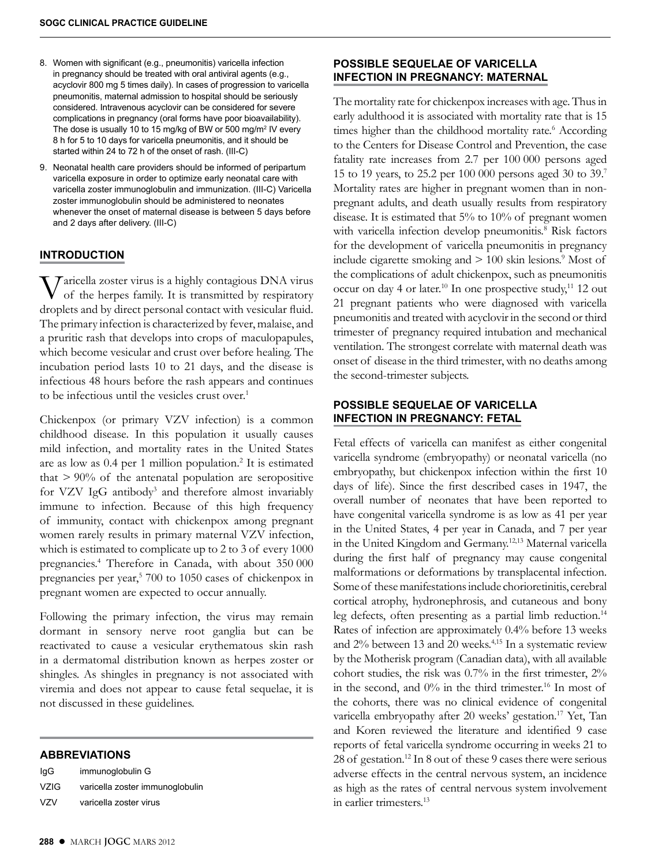- 8. Women with significant (e.g., pneumonitis) varicella infection in pregnancy should be treated with oral antiviral agents (e.g., acyclovir 800 mg 5 times daily). In cases of progression to varicella pneumonitis, maternal admission to hospital should be seriously considered. Intravenous acyclovir can be considered for severe complications in pregnancy (oral forms have poor bioavailability). The dose is usually 10 to 15 mg/kg of BW or 500 mg/m<sup>2</sup> IV every 8 h for 5 to 10 days for varicella pneumonitis, and it should be started within 24 to 72 h of the onset of rash. (III-C)
- 9. Neonatal health care providers should be informed of peripartum varicella exposure in order to optimize early neonatal care with varicella zoster immunoglobulin and immunization. (III-C) Varicella zoster immunoglobulin should be administered to neonates whenever the onset of maternal disease is between 5 days before and 2 days after delivery. (III-C)

## **INTRODUCTION**

Varicella zoster virus is a highly contagious DNA virus of the herpes family. It is transmitted by respiratory droplets and by direct personal contact with vesicular fluid. The primary infection is characterized by fever, malaise, and a pruritic rash that develops into crops of maculopapules, which become vesicular and crust over before healing. The incubation period lasts 10 to 21 days, and the disease is infectious 48 hours before the rash appears and continues to be infectious until the vesicles crust over.<sup>1</sup>

Chickenpox (or primary VZV infection) is a common childhood disease. In this population it usually causes mild infection, and mortality rates in the United States are as low as 0.4 per 1 million population.2 It is estimated that  $> 90\%$  of the antenatal population are seropositive for VZV IgG antibody<sup>3</sup> and therefore almost invariably immune to infection. Because of this high frequency of immunity, contact with chickenpox among pregnant women rarely results in primary maternal VZV infection, which is estimated to complicate up to 2 to 3 of every 1000 pregnancies.4 Therefore in Canada, with about 350 000 pregnancies per year,<sup>5</sup> 700 to 1050 cases of chickenpox in pregnant women are expected to occur annually.

Following the primary infection, the virus may remain dormant in sensory nerve root ganglia but can be reactivated to cause a vesicular erythematous skin rash in a dermatomal distribution known as herpes zoster or shingles. As shingles in pregnancy is not associated with viremia and does not appear to cause fetal sequelae, it is not discussed in these guidelines.

#### **ABBREVIATIONS**

| IgG         | immunoglobulin G                |
|-------------|---------------------------------|
| <b>VZIG</b> | varicella zoster immunoglobulin |
| V7V         | varicella zoster virus          |

**POSSIBLE SEQUELAE OF VARICELLA INFECTION IN PREGNANCY: MATERNAL**

The mortality rate for chickenpox increases with age. Thus in early adulthood it is associated with mortality rate that is 15 times higher than the childhood mortality rate.<sup>6</sup> According to the Centers for Disease Control and Prevention, the case fatality rate increases from 2.7 per 100 000 persons aged 15 to 19 years, to 25.2 per 100 000 persons aged 30 to 39.7 Mortality rates are higher in pregnant women than in nonpregnant adults, and death usually results from respiratory disease. It is estimated that 5% to 10% of pregnant women with varicella infection develop pneumonitis.<sup>8</sup> Risk factors for the development of varicella pneumonitis in pregnancy include cigarette smoking and  $> 100$  skin lesions.<sup>9</sup> Most of the complications of adult chickenpox, such as pneumonitis occur on day 4 or later.<sup>10</sup> In one prospective study,<sup>11</sup> 12 out 21 pregnant patients who were diagnosed with varicella pneumonitis and treated with acyclovir in the second or third trimester of pregnancy required intubation and mechanical ventilation. The strongest correlate with maternal death was onset of disease in the third trimester, with no deaths among the second-trimester subjects.

# **POSSIBLE SEQUELAE OF VARICELLA INFECTION IN PREGNANCY: FETAL**

Fetal effects of varicella can manifest as either congenital varicella syndrome (embryopathy) or neonatal varicella (no embryopathy, but chickenpox infection within the first 10 days of life). Since the first described cases in 1947, the overall number of neonates that have been reported to have congenital varicella syndrome is as low as 41 per year in the United States, 4 per year in Canada, and 7 per year in the United Kingdom and Germany.12,13 Maternal varicella during the first half of pregnancy may cause congenital malformations or deformations by transplacental infection. Some of these manifestations include chorioretinitis, cerebral cortical atrophy, hydronephrosis, and cutaneous and bony leg defects, often presenting as a partial limb reduction.<sup>14</sup> Rates of infection are approximately 0.4% before 13 weeks and 2% between 13 and 20 weeks.4,15 In a systematic review by the Motherisk program (Canadian data), with all available cohort studies, the risk was 0.7% in the first trimester, 2% in the second, and 0% in the third trimester.16 In most of the cohorts, there was no clinical evidence of congenital varicella embryopathy after 20 weeks' gestation.<sup>17</sup> Yet, Tan and Koren reviewed the literature and identified 9 case reports of fetal varicella syndrome occurring in weeks 21 to 28 of gestation.12 In 8 out of these 9 cases there were serious adverse effects in the central nervous system, an incidence as high as the rates of central nervous system involvement in earlier trimesters.13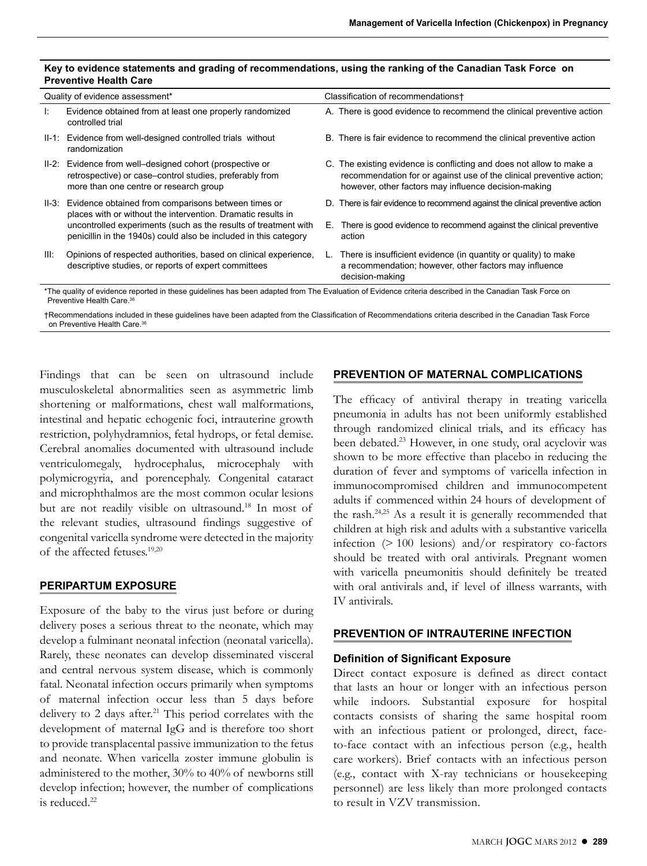#### **Key to evidence statements and grading of recommendations, using the ranking of the Canadian Task Force on Preventive Health Care**

| Quality of evidence assessment*                                                                                                                         |                                                                                                                                                               |    | Classification of recommendations+                                                                                                                                                                   |  |
|---------------------------------------------------------------------------------------------------------------------------------------------------------|---------------------------------------------------------------------------------------------------------------------------------------------------------------|----|------------------------------------------------------------------------------------------------------------------------------------------------------------------------------------------------------|--|
| Ŀ.                                                                                                                                                      | Evidence obtained from at least one properly randomized<br>controlled trial                                                                                   |    | A. There is good evidence to recommend the clinical preventive action                                                                                                                                |  |
|                                                                                                                                                         | II-1: Evidence from well-designed controlled trials without<br>randomization                                                                                  |    | B. There is fair evidence to recommend the clinical preventive action                                                                                                                                |  |
|                                                                                                                                                         | II-2: Evidence from well-designed cohort (prospective or<br>retrospective) or case-control studies, preferably from<br>more than one centre or research group |    | C. The existing evidence is conflicting and does not allow to make a<br>recommendation for or against use of the clinical preventive action;<br>however, other factors may influence decision-making |  |
| II-3:                                                                                                                                                   | Evidence obtained from comparisons between times or<br>places with or without the intervention. Dramatic results in                                           |    | D. There is fair evidence to recommend against the clinical preventive action                                                                                                                        |  |
|                                                                                                                                                         | uncontrolled experiments (such as the results of treatment with<br>penicillin in the 1940s) could also be included in this category                           | Е. | There is good evidence to recommend against the clinical preventive<br>action                                                                                                                        |  |
| III:                                                                                                                                                    | Opinions of respected authorities, based on clinical experience,<br>descriptive studies, or reports of expert committees                                      |    | There is insufficient evidence (in quantity or quality) to make<br>a recommendation; however, other factors may influence<br>decision-making                                                         |  |
| *The quality of evidence renorted in these quidelines has been adapted from The Evaluation of Evidence criteria described in the Canadian Task Eorce on |                                                                                                                                                               |    |                                                                                                                                                                                                      |  |

\*The quality of evidence reported in these guidelines has been adapted from The Evaluation of Evidence criteria described in the Canadian Task Force on Preventive Health Care. 36

†Recommendations included in these guidelines have been adapted from the Classification of Recommendations criteria described in the Canadian Task Force on Preventive Health Care. 36

Findings that can be seen on ultrasound include musculoskeletal abnormalities seen as asymmetric limb shortening or malformations, chest wall malformations, intestinal and hepatic echogenic foci, intrauterine growth restriction, polyhydramnios, fetal hydrops, or fetal demise. Cerebral anomalies documented with ultrasound include ventriculomegaly, hydrocephalus, microcephaly with polymicrogyria, and porencephaly. Congenital cataract and microphthalmos are the most common ocular lesions but are not readily visible on ultrasound.18 In most of the relevant studies, ultrasound findings suggestive of congenital varicella syndrome were detected in the majority of the affected fetuses.19,20

# **PERIPARTUM EXPOSURE**

Exposure of the baby to the virus just before or during delivery poses a serious threat to the neonate, which may develop a fulminant neonatal infection (neonatal varicella). Rarely, these neonates can develop disseminated visceral and central nervous system disease, which is commonly fatal. Neonatal infection occurs primarily when symptoms of maternal infection occur less than 5 days before delivery to 2 days after.<sup>21</sup> This period correlates with the development of maternal IgG and is therefore too short to provide transplacental passive immunization to the fetus and neonate. When varicella zoster immune globulin is administered to the mother, 30% to 40% of newborns still develop infection; however, the number of complications is reduced.22

# **PREVENTION OF MATERNAL COMPLICATIONS**

The efficacy of antiviral therapy in treating varicella pneumonia in adults has not been uniformly established through randomized clinical trials, and its efficacy has been debated.<sup>23</sup> However, in one study, oral acyclovir was shown to be more effective than placebo in reducing the duration of fever and symptoms of varicella infection in immunocompromised children and immunocompetent adults if commenced within 24 hours of development of the rash.24,25 As a result it is generally recommended that children at high risk and adults with a substantive varicella infection (> 100 lesions) and/or respiratory co-factors should be treated with oral antivirals. Pregnant women with varicella pneumonitis should definitely be treated with oral antivirals and, if level of illness warrants, with IV antivirals.

## **PREVENTION OF INTRAUTERINE INFECTION**

# **Definition of Significant Exposure**

Direct contact exposure is defined as direct contact that lasts an hour or longer with an infectious person while indoors. Substantial exposure for hospital contacts consists of sharing the same hospital room with an infectious patient or prolonged, direct, faceto-face contact with an infectious person (e.g., health care workers). Brief contacts with an infectious person (e.g., contact with X-ray technicians or housekeeping personnel) are less likely than more prolonged contacts to result in VZV transmission.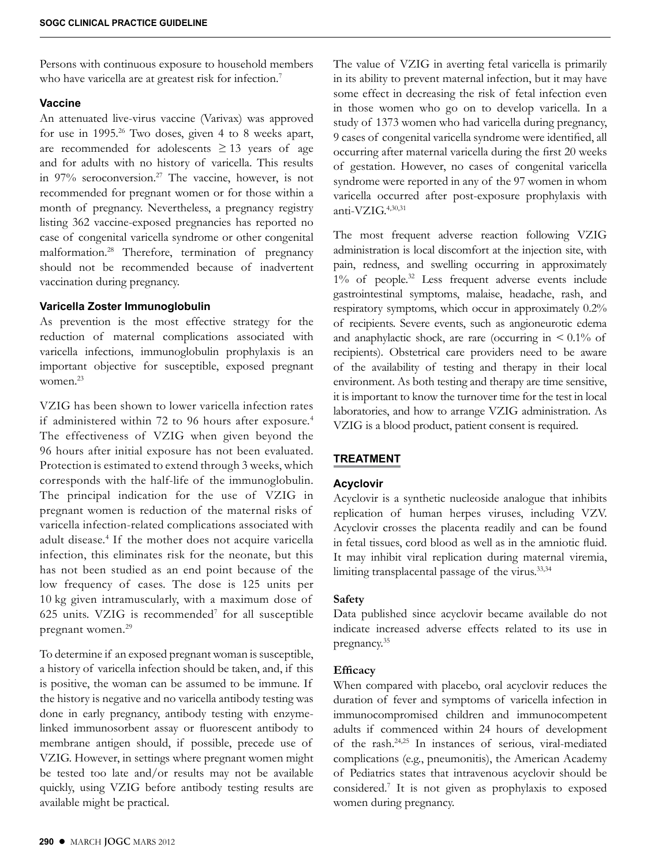Persons with continuous exposure to household members who have varicella are at greatest risk for infection.<sup>7</sup>

#### **Vaccine**

An attenuated live-virus vaccine (Varivax) was approved for use in 1995.26 Two doses, given 4 to 8 weeks apart, are recommended for adolescents  $\geq 13$  years of age and for adults with no history of varicella. This results in 97% seroconversion.27 The vaccine, however, is not recommended for pregnant women or for those within a month of pregnancy. Nevertheless, a pregnancy registry listing 362 vaccine-exposed pregnancies has reported no case of congenital varicella syndrome or other congenital malformation.28 Therefore, termination of pregnancy should not be recommended because of inadvertent vaccination during pregnancy.

## **Varicella Zoster Immunoglobulin**

As prevention is the most effective strategy for the reduction of maternal complications associated with varicella infections, immunoglobulin prophylaxis is an important objective for susceptible, exposed pregnant women.23

VZIG has been shown to lower varicella infection rates if administered within 72 to 96 hours after exposure.<sup>4</sup> The effectiveness of VZIG when given beyond the 96 hours after initial exposure has not been evaluated. Protection is estimated to extend through 3 weeks, which corresponds with the half-life of the immunoglobulin. The principal indication for the use of VZIG in pregnant women is reduction of the maternal risks of varicella infection-related complications associated with adult disease.4 If the mother does not acquire varicella infection, this eliminates risk for the neonate, but this has not been studied as an end point because of the low frequency of cases. The dose is 125 units per 10 kg given intramuscularly, with a maximum dose of 625 units. VZIG is recommended<sup>7</sup> for all susceptible pregnant women.29

To determine if an exposed pregnant woman is susceptible, a history of varicella infection should be taken, and, if this is positive, the woman can be assumed to be immune. If the history is negative and no varicella antibody testing was done in early pregnancy, antibody testing with enzymelinked immunosorbent assay or fluorescent antibody to membrane antigen should, if possible, precede use of VZIG. However, in settings where pregnant women might be tested too late and/or results may not be available quickly, using VZIG before antibody testing results are available might be practical.

The value of VZIG in averting fetal varicella is primarily in its ability to prevent maternal infection, but it may have some effect in decreasing the risk of fetal infection even in those women who go on to develop varicella. In a study of 1373 women who had varicella during pregnancy, 9 cases of congenital varicella syndrome were identified, all occurring after maternal varicella during the first 20 weeks of gestation. However, no cases of congenital varicella syndrome were reported in any of the 97 women in whom varicella occurred after post-exposure prophylaxis with anti-VZI $G<sub>1</sub><sup>4,30,31</sup>$ 

The most frequent adverse reaction following VZIG administration is local discomfort at the injection site, with pain, redness, and swelling occurring in approximately  $1\%$  of people.<sup>32</sup> Less frequent adverse events include gastrointestinal symptoms, malaise, headache, rash, and respiratory symptoms, which occur in approximately 0.2% of recipients. Severe events, such as angioneurotic edema and anaphylactic shock, are rare (occurring in  $\leq 0.1\%$  of recipients). Obstetrical care providers need to be aware of the availability of testing and therapy in their local environment. As both testing and therapy are time sensitive, it is important to know the turnover time for the test in local laboratories, and how to arrange VZIG administration. As VZIG is a blood product, patient consent is required.

# **TREATMENT**

## **Acyclovir**

Acyclovir is a synthetic nucleoside analogue that inhibits replication of human herpes viruses, including VZV. Acyclovir crosses the placenta readily and can be found in fetal tissues, cord blood as well as in the amniotic fluid. It may inhibit viral replication during maternal viremia, limiting transplacental passage of the virus.<sup>33,34</sup>

## **Safety**

Data published since acyclovir became available do not indicate increased adverse effects related to its use in pregnancy.35

## **Efficacy**

When compared with placebo, oral acyclovir reduces the duration of fever and symptoms of varicella infection in immunocompromised children and immunocompetent adults if commenced within 24 hours of development of the rash.24,25 In instances of serious, viral-mediated complications (e.g., pneumonitis), the American Academy of Pediatrics states that intravenous acyclovir should be considered.7 It is not given as prophylaxis to exposed women during pregnancy.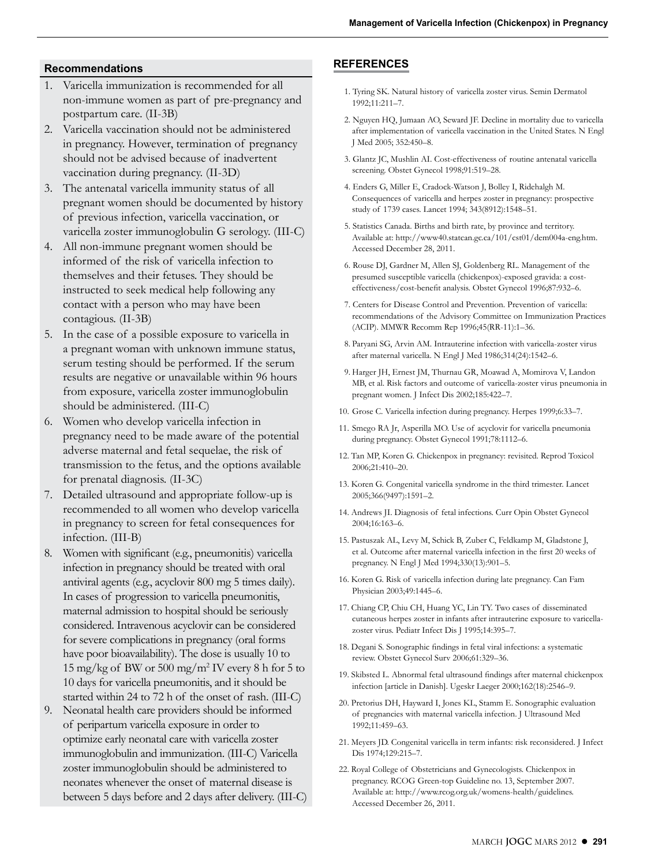## **Recommendations**

- 1. Varicella immunization is recommended for all non-immune women as part of pre-pregnancy and postpartum care. (II-3B)
- 2. Varicella vaccination should not be administered in pregnancy. However, termination of pregnancy should not be advised because of inadvertent vaccination during pregnancy. (II-3D)
- 3. The antenatal varicella immunity status of all pregnant women should be documented by history of previous infection, varicella vaccination, or varicella zoster immunoglobulin G serology. (III-C)
- 4. All non-immune pregnant women should be informed of the risk of varicella infection to themselves and their fetuses. They should be instructed to seek medical help following any contact with a person who may have been contagious. (II-3B)
- 5. In the case of a possible exposure to varicella in a pregnant woman with unknown immune status, serum testing should be performed. If the serum results are negative or unavailable within 96 hours from exposure, varicella zoster immunoglobulin should be administered. (III-C)
- 6. Women who develop varicella infection in pregnancy need to be made aware of the potential adverse maternal and fetal sequelae, the risk of transmission to the fetus, and the options available for prenatal diagnosis. (II-3C)
- 7. Detailed ultrasound and appropriate follow-up is recommended to all women who develop varicella in pregnancy to screen for fetal consequences for infection. (III-B)
- 8. Women with significant (e.g., pneumonitis) varicella infection in pregnancy should be treated with oral antiviral agents (e.g., acyclovir 800 mg 5 times daily). In cases of progression to varicella pneumonitis, maternal admission to hospital should be seriously considered. Intravenous acyclovir can be considered for severe complications in pregnancy (oral forms have poor bioavailability). The dose is usually 10 to  $15 \text{ mg/kg}$  of BW or  $500 \text{ mg/m}^2$  IV every 8 h for 5 to 10 days for varicella pneumonitis, and it should be started within 24 to 72 h of the onset of rash. (III-C)
- 9. Neonatal health care providers should be informed of peripartum varicella exposure in order to optimize early neonatal care with varicella zoster immunoglobulin and immunization. (III-C) Varicella zoster immunoglobulin should be administered to neonates whenever the onset of maternal disease is between 5 days before and 2 days after delivery. (III-C)

## **REFERENCES**

- 1. Tyring SK. Natural history of varicella zoster virus. Semin Dermatol 1992;11:211–7.
- 2. Nguyen HQ, Jumaan AO, Seward JF. Decline in mortality due to varicella after implementation of varicella vaccination in the United States. N Engl J Med 2005; 352:450–8.
- 3. Glantz JC, Mushlin AI. Cost-effectiveness of routine antenatal varicella screening. Obstet Gynecol 1998;91:519–28.
- 4. Enders G, Miller E, Cradock-Watson J, Bolley I, Ridehalgh M. Consequences of varicella and herpes zoster in pregnancy: prospective study of 1739 cases. Lancet 1994; 343(8912):1548–51.
- 5. Statistics Canada. Births and birth rate, by province and territory. Available at: http://www40.statcan.gc.ca/101/cst01/dem004a-eng.htm. Accessed December 28, 2011.
- 6. Rouse DJ, Gardner M, Allen SJ, Goldenberg RL. Management of the presumed susceptible varicella (chickenpox)-exposed gravida: a costeffectiveness/cost-benefit analysis. Obstet Gynecol 1996;87:932–6.
- 7. Centers for Disease Control and Prevention. Prevention of varicella: recommendations of the Advisory Committee on Immunization Practices (ACIP). MMWR Recomm Rep 1996;45(RR-11):1–36.
- 8. Paryani SG, Arvin AM. Intrauterine infection with varicella-zoster virus after maternal varicella. N Engl J Med 1986;314(24):1542–6.
- 9. Harger JH, Ernest JM, Thurnau GR, Moawad A, Momirova V, Landon MB, et al. Risk factors and outcome of varicella-zoster virus pneumonia in pregnant women. J Infect Dis 2002;185:422–7.
- 10. Grose C. Varicella infection during pregnancy. Herpes 1999;6:33–7.
- 11. Smego RA Jr, Asperilla MO. Use of acyclovir for varicella pneumonia during pregnancy. Obstet Gynecol 1991;78:1112–6.
- 12. Tan MP, Koren G. Chickenpox in pregnancy: revisited. Reprod Toxicol 2006;21:410–20.
- 13. Koren G. Congenital varicella syndrome in the third trimester. Lancet 2005;366(9497):1591–2.
- 14. Andrews JI. Diagnosis of fetal infections. Curr Opin Obstet Gynecol 2004;16:163–6.
- 15. Pastuszak AL, Levy M, Schick B, Zuber C, Feldkamp M, Gladstone J, et al. Outcome after maternal varicella infection in the first 20 weeks of pregnancy. N Engl J Med 1994;330(13):901–5.
- 16. Koren G. Risk of varicella infection during late pregnancy. Can Fam Physician 2003;49:1445–6.
- 17. Chiang CP, Chiu CH, Huang YC, Lin TY. Two cases of disseminated cutaneous herpes zoster in infants after intrauterine exposure to varicellazoster virus. Pediatr Infect Dis J 1995;14:395–7.
- 18. Degani S. Sonographic findings in fetal viral infections: a systematic review. Obstet Gynecol Surv 2006;61:329–36.
- 19. Skibsted L. Abnormal fetal ultrasound findings after maternal chickenpox infection [article in Danish]. Ugeskr Laeger 2000;162(18):2546–9.
- 20. Pretorius DH, Hayward I, Jones KL, Stamm E. Sonographic evaluation of pregnancies with maternal varicella infection. J Ultrasound Med 1992;11:459–63.
- 21. Meyers JD. Congenital varicella in term infants: risk reconsidered. J Infect Dis 1974;129:215–7.
- 22. Royal College of Obstetricians and Gynecologists. Chickenpox in pregnancy. RCOG Green-top Guideline no. 13, September 2007. Available at: http://www.rcog.org.uk/womens-health/guidelines. Accessed December 26, 2011.